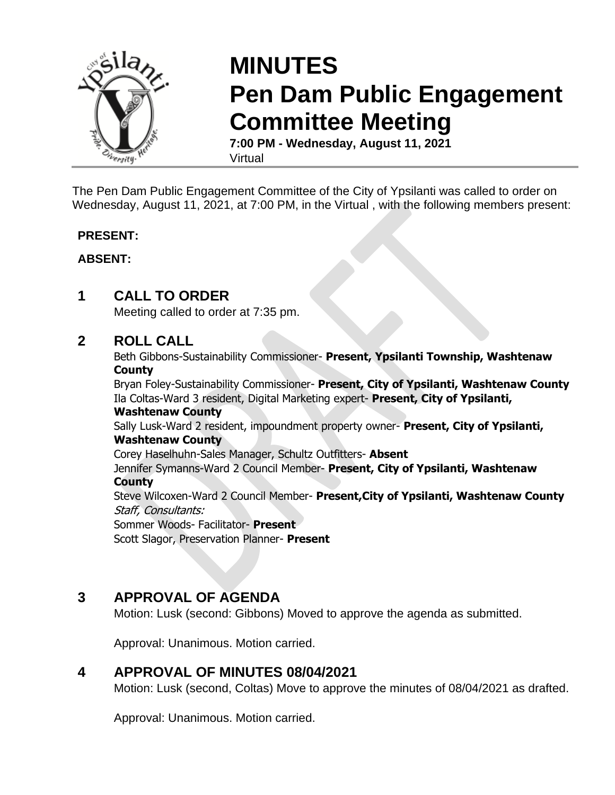

# **MINUTES Pen Dam Public Engagement Committee Meeting**

**7:00 PM - Wednesday, August 11, 2021** Virtual

The Pen Dam Public Engagement Committee of the City of Ypsilanti was called to order on Wednesday, August 11, 2021, at 7:00 PM, in the Virtual , with the following members present:

### **PRESENT:**

### **ABSENT:**

# **1 CALL TO ORDER**

Meeting called to order at 7:35 pm.

# **2 ROLL CALL**

Beth Gibbons-Sustainability Commissioner- **Present, Ypsilanti Township, Washtenaw County**

Bryan Foley-Sustainability Commissioner- **Present, City of Ypsilanti, Washtenaw County** Ila Coltas-Ward 3 resident, Digital Marketing expert- **Present, City of Ypsilanti,** 

### **Washtenaw County**

Sally Lusk-Ward 2 resident, impoundment property owner- **Present, City of Ypsilanti, Washtenaw County**

Corey Haselhuhn-Sales Manager, Schultz Outfitters- **Absent** Jennifer Symanns-Ward 2 Council Member- **Present, City of Ypsilanti, Washtenaw County**

Steve Wilcoxen-Ward 2 Council Member- **Present,City of Ypsilanti, Washtenaw County** Staff, Consultants:

Sommer Woods- Facilitator- **Present** Scott Slagor, Preservation Planner- **Present**

# **3 APPROVAL OF AGENDA**

Motion: Lusk (second: Gibbons) Moved to approve the agenda as submitted.

Approval: Unanimous. Motion carried.

# **4 APPROVAL OF MINUTES 08/04/2021**

Motion: Lusk (second, Coltas) Move to approve the minutes of 08/04/2021 as drafted.

Approval: Unanimous. Motion carried.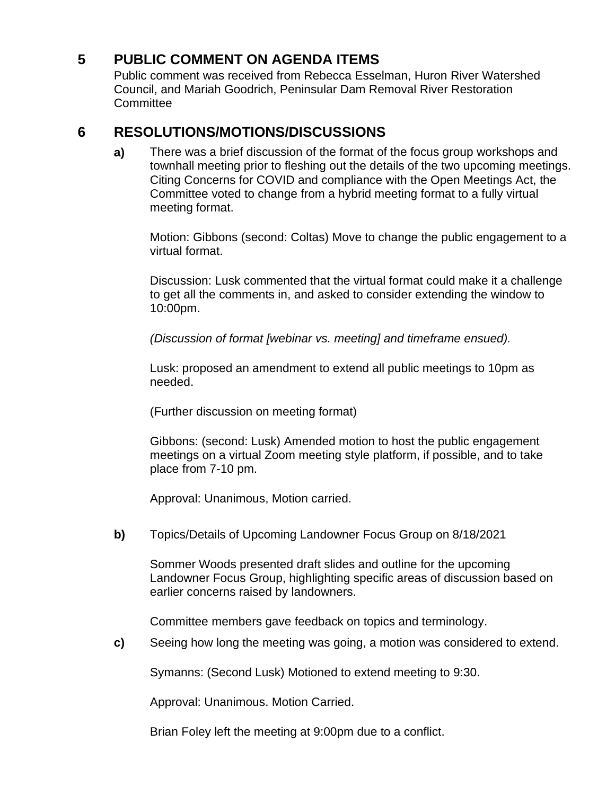# **5 PUBLIC COMMENT ON AGENDA ITEMS**

Public comment was received from Rebecca Esselman, Huron River Watershed Council, and Mariah Goodrich, Peninsular Dam Removal River Restoration **Committee** 

# **6 RESOLUTIONS/MOTIONS/DISCUSSIONS**

**a)** There was a brief discussion of the format of the focus group workshops and townhall meeting prior to fleshing out the details of the two upcoming meetings. Citing Concerns for COVID and compliance with the Open Meetings Act, the Committee voted to change from a hybrid meeting format to a fully virtual meeting format.

Motion: Gibbons (second: Coltas) Move to change the public engagement to a virtual format.

Discussion: Lusk commented that the virtual format could make it a challenge to get all the comments in, and asked to consider extending the window to 10:00pm.

*(Discussion of format [webinar vs. meeting] and timeframe ensued).* 

Lusk: proposed an amendment to extend all public meetings to 10pm as needed.

(Further discussion on meeting format)

Gibbons: (second: Lusk) Amended motion to host the public engagement meetings on a virtual Zoom meeting style platform, if possible, and to take place from 7-10 pm.

Approval: Unanimous, Motion carried.

**b)** Topics/Details of Upcoming Landowner Focus Group on 8/18/2021

Sommer Woods presented draft slides and outline for the upcoming Landowner Focus Group, highlighting specific areas of discussion based on earlier concerns raised by landowners.

Committee members gave feedback on topics and terminology.

**c)** Seeing how long the meeting was going, a motion was considered to extend.

Symanns: (Second Lusk) Motioned to extend meeting to 9:30.

Approval: Unanimous. Motion Carried.

Brian Foley left the meeting at 9:00pm due to a conflict.